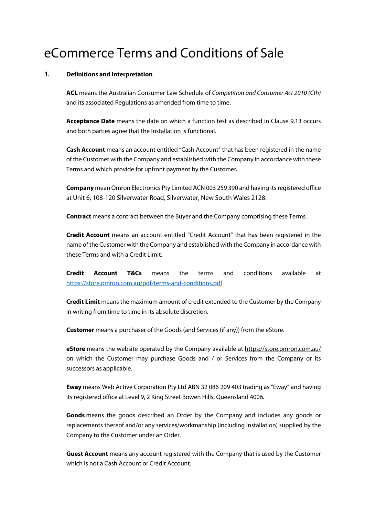# eCommerce Terms and Conditions of Sale

## **1. Definitions and Interpretation**

**ACL** means the Australian Consumer Law Schedule of *Competition and Consumer Act 2010 (Cth)* and its associated Regulations as amended from time to time.

**Acceptance Date** means the date on which a function test as described in Clause 9.13 occurs and both parties agree that the Installation is functional.

**Cash Account** means an account entitled "Cash Account" that has been registered in the name of the Customer with the Company and established with the Company in accordance with these Terms and which provide for upfront payment by the Customer*.*

**Company** mean Omron Electronics Pty Limited ACN 003 259 390 and having its registered office at Unit 6, 108-120 Silverwater Road, Silverwater, New South Wales 2128.

**Contract** means a contract between the Buyer and the Company comprising these Terms.

**Credit Account** means an account entitled "Credit Account" that has been registered in the name of the Customer with the Company and established with the Company in accordance with these Terms and with a Credit Limit.

**Credit Account T&Cs** means the terms and conditions available at https://store.omron.com.au/pdf/terms-and-conditions.pdf

**Credit Limit** means the maximum amount of credit extended to the Customer by the Company in writing from time to time in its absolute discretion.

**Customer** means a purchaser of the Goods (and Services (if any)) from the eStore.

**eStore** means the website operated by the Company available at https://store.omron.com.au/ on which the Customer may purchase Goods and / or Services from the Company or its successors as applicable.

**Eway** means Web Active Corporation Pty Ltd ABN 32 086 209 403 trading as "Eway" and having its registered office at Level 9, 2 King Street Bowen Hills, Queensland 4006.

**Goods** means the goods described an Order by the Company and includes any goods or replacements thereof and/or any services/workmanship (including Installation) supplied by the Company to the Customer under an Order.

**Guest Account** means any account registered with the Company that is used by the Customer which is not a Cash Account or Credit Account.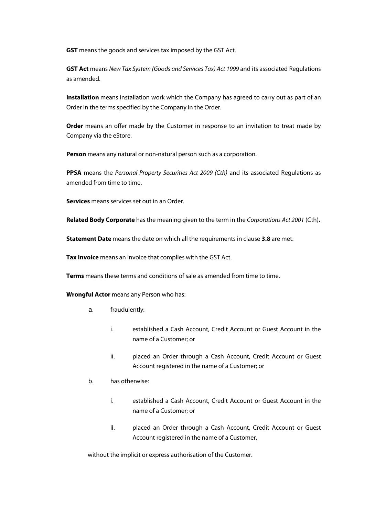**GST** means the goods and services tax imposed by the GST Act.

**GST Act** means *New Tax System (Goods and Services Tax) Act 1999* and its associated Regulations as amended.

**Installation** means installation work which the Company has agreed to carry out as part of an Order in the terms specified by the Company in the Order.

**Order** means an offer made by the Customer in response to an invitation to treat made by Company via the eStore.

**Person** means any natural or non-natural person such as a corporation.

**PPSA** means the *Personal Property Securities Act 2009 (Cth)* and its associated Regulations as amended from time to time.

**Services** means services set out in an Order.

**Related Body Corporate** has the meaning given to the term in the *Corporations Act 2001* (Cth)**.**

**Statement Date** means the date on which all the requirements in clause **3.8** are met.

**Tax Invoice** means an invoice that complies with the GST Act.

**Terms** means these terms and conditions of sale as amended from time to time.

**Wrongful Actor** means any Person who has:

- a. fraudulently:
	- i. established a Cash Account, Credit Account or Guest Account in the name of a Customer; or
	- ii. placed an Order through a Cash Account, Credit Account or Guest Account registered in the name of a Customer; or
- b. has otherwise:
	- i. established a Cash Account, Credit Account or Guest Account in the name of a Customer; or
	- ii. placed an Order through a Cash Account, Credit Account or Guest Account registered in the name of a Customer,

without the implicit or express authorisation of the Customer.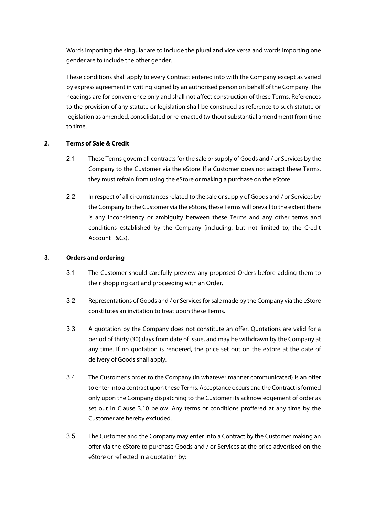Words importing the singular are to include the plural and vice versa and words importing one gender are to include the other gender.

These conditions shall apply to every Contract entered into with the Company except as varied by express agreement in writing signed by an authorised person on behalf of the Company. The headings are for convenience only and shall not affect construction of these Terms. References to the provision of any statute or legislation shall be construed as reference to such statute or legislation as amended, consolidated or re-enacted (without substantial amendment) from time to time.

# **2. Terms of Sale & Credit**

- 2.1 These Terms govern all contracts for the sale or supply of Goods and / or Services by the Company to the Customer via the eStore. If a Customer does not accept these Terms, they must refrain from using the eStore or making a purchase on the eStore.
- 2.2 In respect of all circumstances related to the sale or supply of Goods and / or Services by the Company to the Customer via the eStore, these Terms will prevail to the extent there is any inconsistency or ambiguity between these Terms and any other terms and conditions established by the Company (including, but not limited to, the Credit Account T&Cs).

# **3. Orders and ordering**

- 3.1 The Customer should carefully preview any proposed Orders before adding them to their shopping cart and proceeding with an Order.
- 3.2 Representations of Goods and / or Servicesforsale made by the Company via the eStore constitutes an invitation to treat upon these Terms.
- 3.3 A quotation by the Company does not constitute an offer. Quotations are valid for a period of thirty (30) days from date of issue, and may be withdrawn by the Company at any time. If no quotation is rendered, the price set out on the eStore at the date of delivery of Goods shall apply.
- 3.4 The Customer's order to the Company (in whatever manner communicated) is an offer to enterinto a contract upon these Terms. Acceptance occurs and the Contractisformed only upon the Company dispatching to the Customer its acknowledgement of order as set out in Clause 3.10 below. Any terms or conditions proffered at any time by the Customer are hereby excluded.
- 3.5 The Customer and the Company may enter into a Contract by the Customer making an offer via the eStore to purchase Goods and / or Services at the price advertised on the eStore or reflected in a quotation by: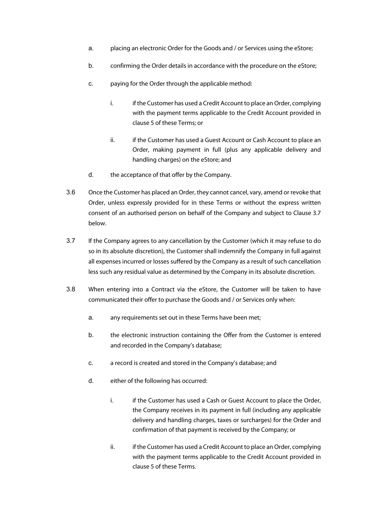- a. placing an electronic Order for the Goods and / or Services using the eStore;
- b. confirming the Order details in accordance with the procedure on the eStore;
- c. paying for the Order through the applicable method:
	- i. if the Customer has used a Credit Account to place an Order, complying with the payment terms applicable to the Credit Account provided in clause 5 of these Terms; or
	- ii. if the Customer has used a Guest Account or Cash Account to place an Order, making payment in full (plus any applicable delivery and handling charges) on the eStore; and
- d. the acceptance of that offer by the Company.
- 3.6 Once the Customer has placed an Order, they cannot cancel, vary, amend or revoke that Order, unless expressly provided for in these Terms or without the express written consent of an authorised person on behalf of the Company and subject to Clause 3.7 below.
- 3.7 If the Company agrees to any cancellation by the Customer (which it may refuse to do so in its absolute discretion), the Customer shall indemnify the Company in full against all expenses incurred or losses suffered by the Company as a result of such cancellation less such any residual value as determined by the Company in its absolute discretion.
- 3.8 When entering into a Contract via the eStore, the Customer will be taken to have communicated their offer to purchase the Goods and / or Services only when:
	- a. any requirements set out in these Terms have been met;
	- b. the electronic instruction containing the Offer from the Customer is entered and recorded in the Company's database;
	- c. a record is created and stored in the Company's database; and
	- d. either of the following has occurred:
		- i. if the Customer has used a Cash or Guest Account to place the Order, the Company receives in its payment in full (including any applicable delivery and handling charges, taxes or surcharges) for the Order and confirmation of that payment is received by the Company; or
		- ii. ii. if the Customer has used a Credit Account to place an Order, complying with the payment terms applicable to the Credit Account provided in clause 5 of these Terms.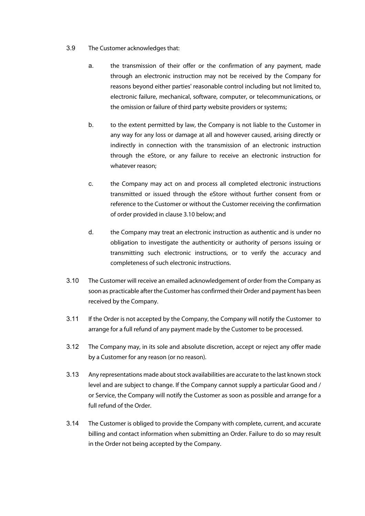- 3.9 The Customer acknowledges that:
	- a. the transmission of their offer or the confirmation of any payment, made through an electronic instruction may not be received by the Company for reasons beyond either parties' reasonable control including but not limited to, electronic failure, mechanical, software, computer, or telecommunications, or the omission or failure of third party website providers or systems;
	- b. to the extent permitted by law, the Company is not liable to the Customer in any way for any loss or damage at all and however caused, arising directly or indirectly in connection with the transmission of an electronic instruction through the eStore, or any failure to receive an electronic instruction for whatever reason;
	- c. the Company may act on and process all completed electronic instructions transmitted or issued through the eStore without further consent from or reference to the Customer or without the Customer receiving the confirmation of order provided in clause 3.10 below; and
	- d. the Company may treat an electronic instruction as authentic and is under no obligation to investigate the authenticity or authority of persons issuing or transmitting such electronic instructions, or to verify the accuracy and completeness of such electronic instructions.
- 3.10 The Customer will receive an emailed acknowledgement of order from the Company as soon as practicable after the Customer has confirmed their Order and payment has been received by the Company.
- 3.11 If the Order is not accepted by the Company, the Company will notify the Customer to arrange for a full refund of any payment made by the Customer to be processed.
- 3.12 The Company may, in its sole and absolute discretion, accept or reject any offer made by a Customer for any reason (or no reason).
- 3.13 Any representations made about stock availabilities are accurate to the last known stock level and are subject to change. If the Company cannot supply a particular Good and / or Service, the Company will notify the Customer as soon as possible and arrange for a full refund of the Order.
- 3.14 The Customer is obliged to provide the Company with complete, current, and accurate billing and contact information when submitting an Order. Failure to do so may result in the Order not being accepted by the Company.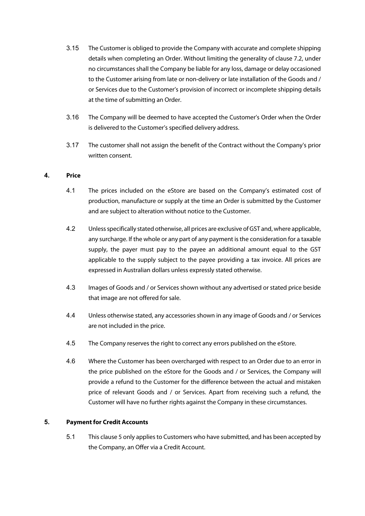- 3.15 The Customer is obliged to provide the Company with accurate and complete shipping details when completing an Order. Without limiting the generality of clause 7.2, under no circumstances shall the Company be liable for any loss, damage or delay occasioned to the Customer arising from late or non-delivery or late installation of the Goods and / or Services due to the Customer's provision of incorrect or incomplete shipping details at the time of submitting an Order.
- 3.16 The Company will be deemed to have accepted the Customer's Order when the Order is delivered to the Customer's specified delivery address.
- 3.17 The customer shall not assign the benefit of the Contract without the Company's prior written consent.

# **4. Price**

- 4.1 The prices included on the eStore are based on the Company's estimated cost of production, manufacture or supply at the time an Order is submitted by the Customer and are subject to alteration without notice to the Customer.
- 4.2 Unless specifically stated otherwise, all prices are exclusive of GST and, where applicable, any surcharge. If the whole or any part of any payment is the consideration for a taxable supply, the payer must pay to the payee an additional amount equal to the GST applicable to the supply subject to the payee providing a tax invoice. All prices are expressed in Australian dollars unless expressly stated otherwise.
- 4.3 Images of Goods and / or Services shown without any advertised or stated price beside that image are not offered for sale.
- 4.4 Unless otherwise stated, any accessories shown in any image of Goods and / or Services are not included in the price.
- 4.5 The Company reserves the right to correct any errors published on the eStore.
- 4.6 Where the Customer has been overcharged with respect to an Order due to an error in the price published on the eStore for the Goods and / or Services, the Company will provide a refund to the Customer for the difference between the actual and mistaken price of relevant Goods and / or Services. Apart from receiving such a refund, the Customer will have no further rights against the Company in these circumstances.

# **5. Payment for Credit Accounts**

5.1 This clause 5 only applies to Customers who have submitted, and has been accepted by the Company, an Offer via a Credit Account.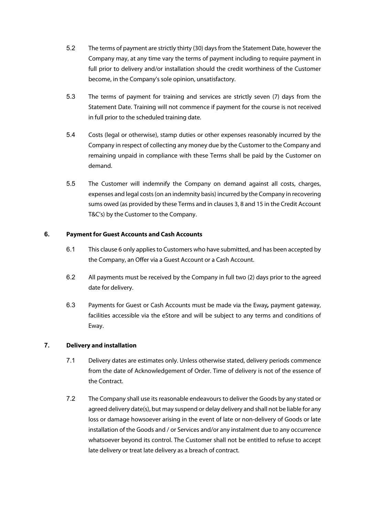- 5.2 The terms of payment are strictly thirty (30) days from the Statement Date, however the Company may, at any time vary the terms of payment including to require payment in full prior to delivery and/or installation should the credit worthiness of the Customer become, in the Company's sole opinion, unsatisfactory.
- 5.3 The terms of payment for training and services are strictly seven (7) days from the Statement Date. Training will not commence if payment for the course is not received in full prior to the scheduled training date.
- 5.4 Costs (legal or otherwise), stamp duties or other expenses reasonably incurred by the Company in respect of collecting any money due by the Customer to the Company and remaining unpaid in compliance with these Terms shall be paid by the Customer on demand.
- 5.5 The Customer will indemnify the Company on demand against all costs, charges, expenses and legal costs (on an indemnity basis) incurred by the Company in recovering sums owed (as provided by these Terms and in clauses 3, 8 and 15 in the Credit Account T&C's) by the Customer to the Company.

# **6. Payment for Guest Accounts and Cash Accounts**

- 6.1 This clause 6 only applies to Customers who have submitted, and has been accepted by the Company, an Offer via a Guest Account or a Cash Account.
- 6.2 All payments must be received by the Company in full two (2) days prior to the agreed date for delivery.
- 6.3 Payments for Guest or Cash Accounts must be made via the Eway*,* payment gateway, facilities accessible via the eStore and will be subject to any terms and conditions of Eway.

# **7. Delivery and installation**

- 7.1 Delivery dates are estimates only. Unless otherwise stated, delivery periods commence from the date of Acknowledgement of Order. Time of delivery is not of the essence of the Contract.
- 7.2 The Company shall use its reasonable endeavours to deliver the Goods by any stated or agreed delivery date(s), but may suspend or delay delivery and shall not be liable for any loss or damage howsoever arising in the event of late or non-delivery of Goods or late installation of the Goods and / or Services and/or any instalment due to any occurrence whatsoever beyond its control. The Customer shall not be entitled to refuse to accept late delivery or treat late delivery as a breach of contract.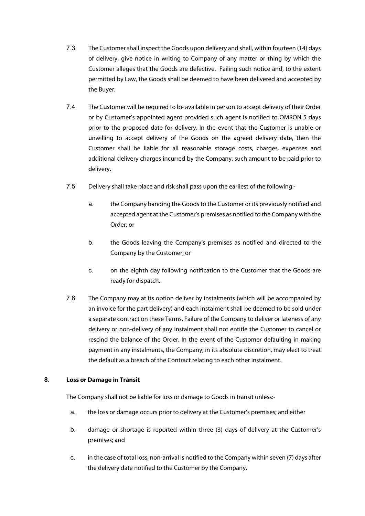- 7.3 The Customer shall inspect the Goods upon delivery and shall, within fourteen (14) days of delivery, give notice in writing to Company of any matter or thing by which the Customer alleges that the Goods are defective. Failing such notice and, to the extent permitted by Law, the Goods shall be deemed to have been delivered and accepted by the Buyer.
- 7.4 The Customer will be required to be available in person to accept delivery of their Order or by Customer's appointed agent provided such agent is notified to OMRON 5 days prior to the proposed date for delivery. In the event that the Customer is unable or unwilling to accept delivery of the Goods on the agreed delivery date, then the Customer shall be liable for all reasonable storage costs, charges, expenses and additional delivery charges incurred by the Company, such amount to be paid prior to delivery.
- 7.5 Delivery shall take place and risk shall pass upon the earliest of the following:
	- a. the Company handing the Goods to the Customer or its previously notified and accepted agent at the Customer's premises as notified to the Company with the Order; or
	- b. the Goods leaving the Company's premises as notified and directed to the Company by the Customer; or
	- c. on the eighth day following notification to the Customer that the Goods are ready for dispatch.
- 7.6 The Company may at its option deliver by instalments (which will be accompanied by an invoice for the part delivery) and each instalment shall be deemed to be sold under a separate contract on these Terms. Failure of the Company to deliver or lateness of any delivery or non-delivery of any instalment shall not entitle the Customer to cancel or rescind the balance of the Order. In the event of the Customer defaulting in making payment in any instalments, the Company, in its absolute discretion, may elect to treat the default as a breach of the Contract relating to each other instalment.

# **8. Loss or Damage in Transit**

The Company shall not be liable for loss or damage to Goods in transit unless:-

- a. the loss or damage occurs prior to delivery at the Customer's premises; and either
- b. damage or shortage is reported within three (3) days of delivery at the Customer's premises; and
- c. in the case of total loss, non-arrival is notified to the Company within seven (7) days after the delivery date notified to the Customer by the Company.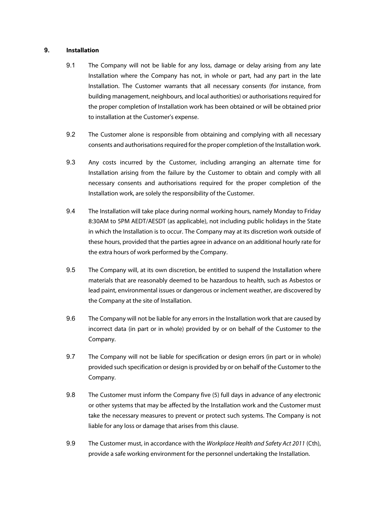## **9. Installation**

- 9.1 The Company will not be liable for any loss, damage or delay arising from any late Installation where the Company has not, in whole or part, had any part in the late Installation. The Customer warrants that all necessary consents (for instance, from building management, neighbours, and local authorities) or authorisations required for the proper completion of Installation work has been obtained or will be obtained prior to installation at the Customer's expense.
- 9.2 The Customer alone is responsible from obtaining and complying with all necessary consents and authorisations required for the proper completion of the Installation work.
- 9.3 Any costs incurred by the Customer, including arranging an alternate time for Installation arising from the failure by the Customer to obtain and comply with all necessary consents and authorisations required for the proper completion of the Installation work, are solely the responsibility of the Customer.
- 9.4 The Installation will take place during normal working hours, namely Monday to Friday 8:30AM to 5PM AEDT/AESDT (as applicable), not including public holidays in the State in which the Installation is to occur. The Company may at its discretion work outside of these hours, provided that the parties agree in advance on an additional hourly rate for the extra hours of work performed by the Company.
- 9.5 The Company will, at its own discretion, be entitled to suspend the Installation where materials that are reasonably deemed to be hazardous to health, such as Asbestos or lead paint, environmental issues or dangerous or inclement weather, are discovered by the Company at the site of Installation.
- 9.6 The Company will not be liable for any errors in the Installation work that are caused by incorrect data (in part or in whole) provided by or on behalf of the Customer to the Company.
- 9.7 The Company will not be liable for specification or design errors (in part or in whole) provided such specification or design is provided by or on behalf of the Customer to the Company.
- 9.8 The Customer must inform the Company five (5) full days in advance of any electronic or other systems that may be affected by the Installation work and the Customer must take the necessary measures to prevent or protect such systems. The Company is not liable for any loss or damage that arises from this clause.
- 9.9 The Customer must, in accordance with the *Workplace Health and Safety Act 2011* (Cth), provide a safe working environment for the personnel undertaking the Installation.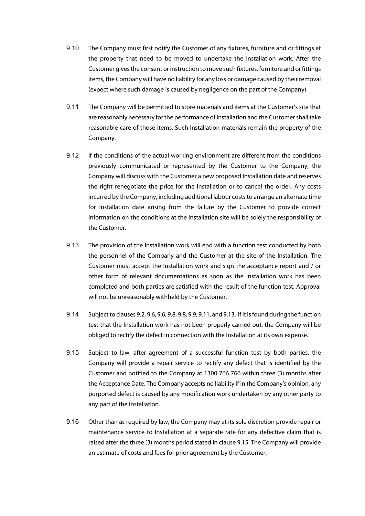- 9.10 The Company must first notify the Customer of any fixtures, furniture and or fittings at the property that need to be moved to undertake the Installation work. After the Customer gives the consent or instruction to move such fixtures, furniture and or fittings items, the Company will have no liability for any loss or damage caused by their removal (expect where such damage is caused by negligence on the part of the Company).
- 9.11 The Company will be permitted to store materials and items at the Customer's site that are reasonably necessary for the performance of Installation and the Customer shall take reasonable care of those items. Such Installation materials remain the property of the Company.
- 9.12 If the conditions of the actual working environment are different from the conditions previously communicated or represented by the Customer to the Company, the Company will discuss with the Customer a new proposed Installation date and reserves the right renegotiate the price for the installation or to cancel the order*.* Any costs incurred by the Company, including additional labour costs to arrange an alternate time for Installation date arising from the failure by the Customer to provide correct information on the conditions at the Installation site will be solely the responsibility of the Customer.
- 9.13 The provision of the Installation work will end with a function test conducted by both the personnel of the Company and the Customer at the site of the Installation. The Customer must accept the Installation work and sign the acceptance report and / or other form of relevant documentations as soon as the Installation work has been completed and both parties are satisfied with the result of the function test. Approval will not be unreasonably withheld by the Customer.
- 9.14 Subject to clauses 9.2, 9.6, 9.6, 9.8, 9.8, 9.9, 9.11, and 9.13, if it is found during the function test that the Installation work has not been properly carried out, the Company will be obliged to rectify the defect in connection with the Installation at its own expense.
- 9.15 Subject to law, after agreement of a successful function test by both parties, the Company will provide a repair service to rectify any defect that is identified by the Customer and notified to the Company at 1300 766 766 within three (3) months after the Acceptance Date. The Company accepts no liability if in the Company's opinion, any purported defect is caused by any modification work undertaken by any other party to any part of the Installation.
- 9.16 Other than as required by law, the Company may at its sole discretion provide repair or maintenance service to Installation at a separate rate for any defective claim that is raised after the three (3) months period stated in clause 9.15. The Company will provide an estimate of costs and fees for prior agreement by the Customer.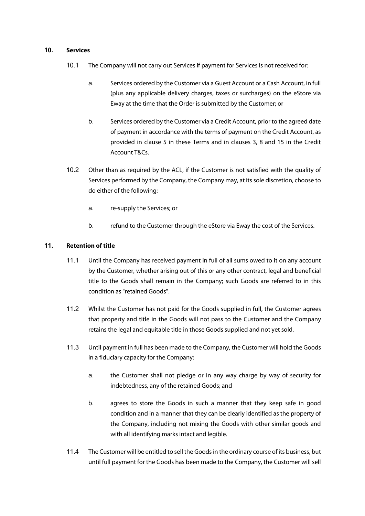## **10. Services**

- 10.1 The Company will not carry out Services if payment for Services is not received for:
	- a. Services ordered by the Customer via a Guest Account or a Cash Account, in full (plus any applicable delivery charges, taxes or surcharges) on the eStore via Eway at the time that the Order is submitted by the Customer; or
	- b. Services ordered by the Customer via a Credit Account, prior to the agreed date of payment in accordance with the terms of payment on the Credit Account, as provided in clause 5 in these Terms and in clauses 3, 8 and 15 in the Credit Account T&Cs.
- 10.2 Other than as required by the ACL, if the Customer is not satisfied with the quality of Services performed by the Company, the Company may, at its sole discretion, choose to do either of the following:
	- a. re-supply the Services; or
	- b. refund to the Customer through the eStore via Eway the cost of the Services.

## **11. Retention of title**

- 11.1 Until the Company has received payment in full of all sums owed to it on any account by the Customer, whether arising out of this or any other contract, legal and beneficial title to the Goods shall remain in the Company; such Goods are referred to in this condition as "retained Goods".
- 11.2 Whilst the Customer has not paid for the Goods supplied in full, the Customer agrees that property and title in the Goods will not pass to the Customer and the Company retains the legal and equitable title in those Goods supplied and not yet sold.
- 11.3 Until payment in full has been made to the Company, the Customer will hold the Goods in a fiduciary capacity for the Company:
	- a. the Customer shall not pledge or in any way charge by way of security for indebtedness, any of the retained Goods; and
	- b. agrees to store the Goods in such a manner that they keep safe in good condition and in a manner that they can be clearly identified as the property of the Company, including not mixing the Goods with other similar goods and with all identifying marks intact and legible.
- 11.4 The Customer will be entitled to sell the Goods in the ordinary course of its business, but until full payment for the Goods has been made to the Company, the Customer will sell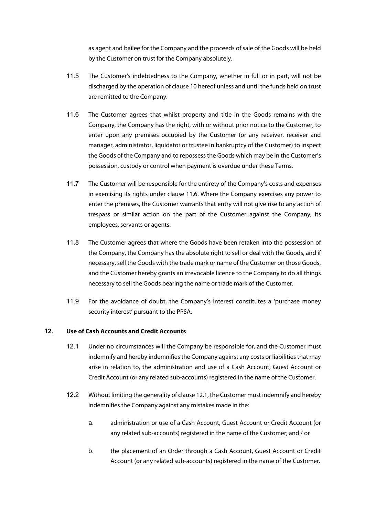as agent and bailee for the Company and the proceeds of sale of the Goods will be held by the Customer on trust for the Company absolutely.

- 11.5 The Customer's indebtedness to the Company, whether in full or in part, will not be discharged by the operation of clause 10 hereof unless and until the funds held on trust are remitted to the Company.
- 11.6 The Customer agrees that whilst property and title in the Goods remains with the Company, the Company has the right, with or without prior notice to the Customer, to enter upon any premises occupied by the Customer (or any receiver, receiver and manager, administrator, liquidator or trustee in bankruptcy of the Customer) to inspect the Goods of the Company and to repossess the Goods which may be in the Customer's possession, custody or control when payment is overdue under these Terms.
- 11.7 The Customer will be responsible for the entirety of the Company's costs and expenses in exercising its rights under clause 11.6. Where the Company exercises any power to enter the premises, the Customer warrants that entry will not give rise to any action of trespass or similar action on the part of the Customer against the Company, its employees, servants or agents.
- 11.8 The Customer agrees that where the Goods have been retaken into the possession of the Company, the Company has the absolute right to sell or deal with the Goods, and if necessary, sell the Goods with the trade mark or name of the Customer on those Goods, and the Customer hereby grants an irrevocable licence to the Company to do all things necessary to sell the Goods bearing the name or trade mark of the Customer.
- 11.9 For the avoidance of doubt, the Company's interest constitutes a 'purchase money security interest' pursuant to the PPSA.

## **12. Use of Cash Accounts and Credit Accounts**

- 12.1 Under no circumstances will the Company be responsible for, and the Customer must indemnify and hereby indemnifies the Company against any costs or liabilities that may arise in relation to, the administration and use of a Cash Account, Guest Account or Credit Account (or any related sub-accounts) registered in the name of the Customer.
- 12.2 Without limiting the generality of clause 12.1, the Customer must indemnify and hereby indemnifies the Company against any mistakes made in the:
	- a. administration or use of a Cash Account, Guest Account or Credit Account (or any related sub-accounts) registered in the name of the Customer; and / or
	- b. the placement of an Order through a Cash Account, Guest Account or Credit Account (or any related sub-accounts) registered in the name of the Customer.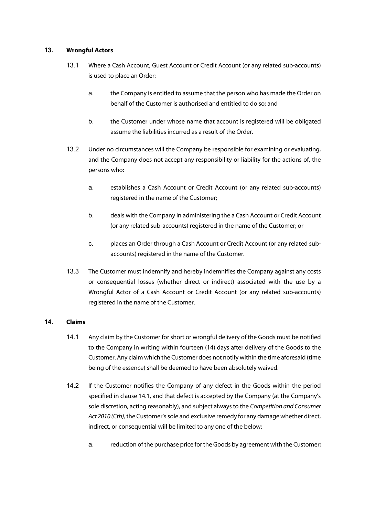# **13. Wrongful Actors**

- 13.1 Where a Cash Account, Guest Account or Credit Account (or any related sub-accounts) is used to place an Order:
	- a. the Company is entitled to assume that the person who has made the Order on behalf of the Customer is authorised and entitled to do so; and
	- b. the Customer under whose name that account is registered will be obligated assume the liabilities incurred as a result of the Order.
- 13.2 Under no circumstances will the Company be responsible for examining or evaluating, and the Company does not accept any responsibility or liability for the actions of, the persons who:
	- a. establishes a Cash Account or Credit Account (or any related sub-accounts) registered in the name of the Customer;
	- b. deals with the Company in administering the a Cash Account or Credit Account (or any related sub-accounts) registered in the name of the Customer; or
	- c. places an Order through a Cash Account or Credit Account (or any related subaccounts) registered in the name of the Customer.
- 13.3 The Customer must indemnify and hereby indemnifies the Company against any costs or consequential losses (whether direct or indirect) associated with the use by a Wrongful Actor of a Cash Account or Credit Account (or any related sub-accounts) registered in the name of the Customer.

# **14. Claims**

- 14.1 Any claim by the Customer for short or wrongful delivery of the Goods must be notified to the Company in writing within fourteen (14) days after delivery of the Goods to the Customer. Any claim which the Customer does not notify within the time aforesaid (time being of the essence) shall be deemed to have been absolutely waived.
- 14.2 If the Customer notifies the Company of any defect in the Goods within the period specified in clause 14.1, and that defect is accepted by the Company (at the Company's sole discretion, acting reasonably), and subject always to the *Competition and Consumer Act 2010 (Cth),* the Customer's sole and exclusive remedy for any damage whether direct, indirect, or consequential will be limited to any one of the below:
	- a. reduction of the purchase price for the Goods by agreement with the Customer;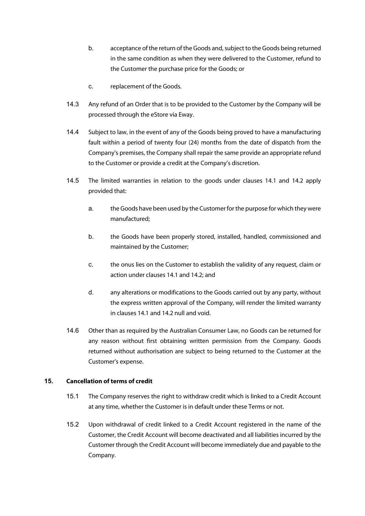- b. acceptance of the return of the Goods and, subject to the Goods being returned in the same condition as when they were delivered to the Customer, refund to the Customer the purchase price for the Goods; or
- c. replacement of the Goods.
- 14.3 Any refund of an Order that is to be provided to the Customer by the Company will be processed through the eStore via Eway.
- 14.4 Subject to law, in the event of any of the Goods being proved to have a manufacturing fault within a period of twenty four (24) months from the date of dispatch from the Company's premises, the Company shall repair the same provide an appropriate refund to the Customer or provide a credit at the Company's discretion.
- 14.5 The limited warranties in relation to the goods under clauses 14.1 and 14.2 apply provided that:
	- a. the Goods have been used by the Customer for the purpose for which they were manufactured;
	- b. the Goods have been properly stored, installed, handled, commissioned and maintained by the Customer;
	- c. the onus lies on the Customer to establish the validity of any request, claim or action under clauses 14.1 and 14.2; and
	- d. any alterations or modifications to the Goods carried out by any party, without the express written approval of the Company, will render the limited warranty in clauses 14.1 and 14.2 null and void.
- 14.6 Other than as required by the Australian Consumer Law, no Goods can be returned for any reason without first obtaining written permission from the Company. Goods returned without authorisation are subject to being returned to the Customer at the Customer's expense.

# **15. Cancellation of terms of credit**

- 15.1 The Company reserves the right to withdraw credit which is linked to a Credit Account at any time, whether the Customer is in default under these Terms or not.
- 15.2 Upon withdrawal of credit linked to a Credit Account registered in the name of the Customer, the Credit Account will become deactivated and all liabilities incurred by the Customer through the Credit Account will become immediately due and payable to the Company.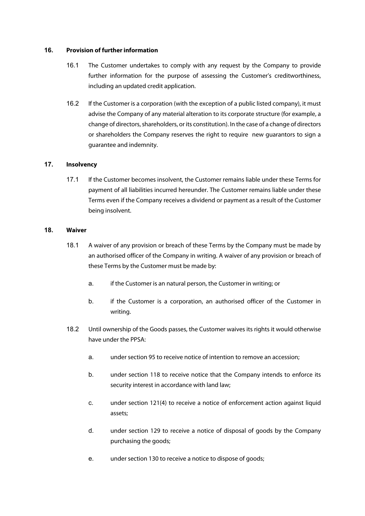## **16. Provision of further information**

- 16.1 The Customer undertakes to comply with any request by the Company to provide further information for the purpose of assessing the Customer's creditworthiness, including an updated credit application.
- 16.2 If the Customer is a corporation (with the exception of a public listed company), it must advise the Company of any material alteration to its corporate structure (for example, a change of directors, shareholders, or its constitution). In the case of a change of directors or shareholders the Company reserves the right to require new guarantors to sign a guarantee and indemnity.

# **17. Insolvency**

17.1 If the Customer becomes insolvent, the Customer remains liable under these Terms for payment of all liabilities incurred hereunder. The Customer remains liable under these Terms even if the Company receives a dividend or payment as a result of the Customer being insolvent.

## **18. Waiver**

- 18.1 A waiver of any provision or breach of these Terms by the Company must be made by an authorised officer of the Company in writing. A waiver of any provision or breach of these Terms by the Customer must be made by:
	- a. if the Customer is an natural person, the Customer in writing; or
	- b. if the Customer is a corporation, an authorised officer of the Customer in writing.
- 18.2 Until ownership of the Goods passes, the Customer waives its rights it would otherwise have under the PPSA:
	- a. under section 95 to receive notice of intention to remove an accession;
	- b. under section 118 to receive notice that the Company intends to enforce its security interest in accordance with land law;
	- c. under section 121(4) to receive a notice of enforcement action against liquid assets;
	- d. under section 129 to receive a notice of disposal of goods by the Company purchasing the goods;
	- e. under section 130 to receive a notice to dispose of goods;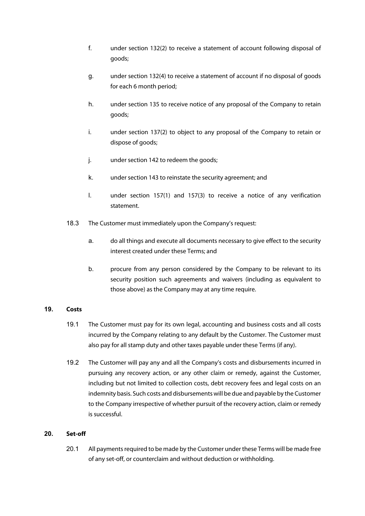- f. under section 132(2) to receive a statement of account following disposal of goods;
- g. under section 132(4) to receive a statement of account if no disposal of goods for each 6 month period;
- h. under section 135 to receive notice of any proposal of the Company to retain goods;
- i. under section 137(2) to object to any proposal of the Company to retain or dispose of goods;
- j. under section 142 to redeem the goods;
- k. under section 143 to reinstate the security agreement; and
- l. under section 157(1) and 157(3) to receive a notice of any verification statement.
- 18.3 The Customer must immediately upon the Company's request:
	- a. do all things and execute all documents necessary to give effect to the security interest created under these Terms; and
	- b. procure from any person considered by the Company to be relevant to its security position such agreements and waivers (including as equivalent to those above) as the Company may at any time require.

# **19. Costs**

- 19.1 The Customer must pay for its own legal, accounting and business costs and all costs incurred by the Company relating to any default by the Customer. The Customer must also pay for all stamp duty and other taxes payable under these Terms (if any).
- 19.2 The Customer will pay any and all the Company's costs and disbursements incurred in pursuing any recovery action, or any other claim or remedy, against the Customer, including but not limited to collection costs, debt recovery fees and legal costs on an indemnity basis. Such costs and disbursements will be due and payable by the Customer to the Company irrespective of whether pursuit of the recovery action, claim or remedy is successful.

# **20. Set-off**

20.1 All payments required to be made by the Customer under these Terms will be made free of any set-off, or counterclaim and without deduction or withholding.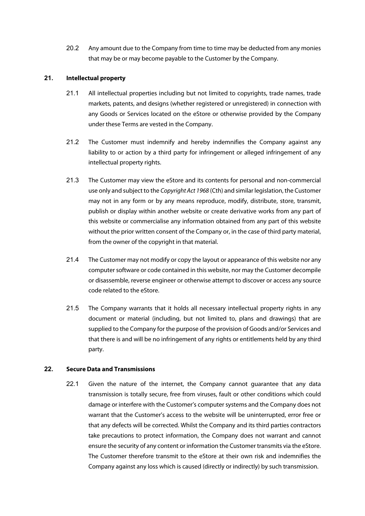20.2 Any amount due to the Company from time to time may be deducted from any monies that may be or may become payable to the Customer by the Company.

## **21. Intellectual property**

- 21.1 All intellectual properties including but not limited to copyrights, trade names, trade markets, patents, and designs (whether registered or unregistered) in connection with any Goods or Services located on the eStore or otherwise provided by the Company under these Terms are vested in the Company.
- 21.2 The Customer must indemnify and hereby indemnifies the Company against any liability to or action by a third party for infringement or alleged infringement of any intellectual property rights.
- 21.3 The Customer may view the eStore and its contents for personal and non-commercial use only and subject to the *Copyright Act 1968* (Cth) and similar legislation, the Customer may not in any form or by any means reproduce, modify, distribute, store, transmit, publish or display within another website or create derivative works from any part of this website or commercialise any information obtained from any part of this website without the prior written consent of the Company or, in the case of third party material, from the owner of the copyright in that material.
- 21.4 The Customer may not modify or copy the layout or appearance of this website nor any computer software or code contained in this website, nor may the Customer decompile or disassemble, reverse engineer or otherwise attempt to discover or access any source code related to the eStore.
- 21.5 The Company warrants that it holds all necessary intellectual property rights in any document or material (including, but not limited to, plans and drawings) that are supplied to the Company for the purpose of the provision of Goods and/or Services and that there is and will be no infringement of any rights or entitlements held by any third party.

## **22. Secure Data and Transmissions**

22.1 Given the nature of the internet, the Company cannot guarantee that any data transmission is totally secure, free from viruses, fault or other conditions which could damage or interfere with the Customer's computer systems and the Company does not warrant that the Customer's access to the website will be uninterrupted, error free or that any defects will be corrected. Whilst the Company and its third parties contractors take precautions to protect information, the Company does not warrant and cannot ensure the security of any content or information the Customer transmits via the eStore. The Customer therefore transmit to the eStore at their own risk and indemnifies the Company against any loss which is caused (directly or indirectly) by such transmission.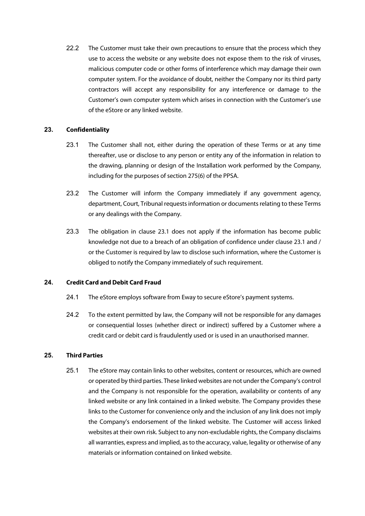22.2 The Customer must take their own precautions to ensure that the process which they use to access the website or any website does not expose them to the risk of viruses, malicious computer code or other forms of interference which may damage their own computer system. For the avoidance of doubt, neither the Company nor its third party contractors will accept any responsibility for any interference or damage to the Customer's own computer system which arises in connection with the Customer's use of the eStore or any linked website.

## **23. Confidentiality**

- 23.1 The Customer shall not, either during the operation of these Terms or at any time thereafter, use or disclose to any person or entity any of the information in relation to the drawing, planning or design of the Installation work performed by the Company, including for the purposes of section 275(6) of the PPSA.
- 23.2 The Customer will inform the Company immediately if any government agency, department, Court, Tribunal requests information or documents relating to these Terms or any dealings with the Company.
- 23.3 The obligation in clause 23.1 does not apply if the information has become public knowledge not due to a breach of an obligation of confidence under clause 23.1 and / or the Customer is required by law to disclose such information, where the Customer is obliged to notify the Company immediately of such requirement.

## **24. Credit Card and Debit Card Fraud**

- 24.1 The eStore employs software from Eway to secure eStore's payment systems.
- 24.2 To the extent permitted by law, the Company will not be responsible for any damages or consequential losses (whether direct or indirect) suffered by a Customer where a credit card or debit card is fraudulently used or is used in an unauthorised manner.

# **25. Third Parties**

25.1 The eStore may contain links to other websites, content or resources, which are owned or operated by third parties. These linked websites are not under the Company's control and the Company is not responsible for the operation, availability or contents of any linked website or any link contained in a linked website. The Company provides these links to the Customer for convenience only and the inclusion of any link does not imply the Company's endorsement of the linked website. The Customer will access linked websites at their own risk. Subject to any non-excludable rights, the Company disclaims all warranties, express and implied, asto the accuracy, value, legality or otherwise of any materials or information contained on linked website.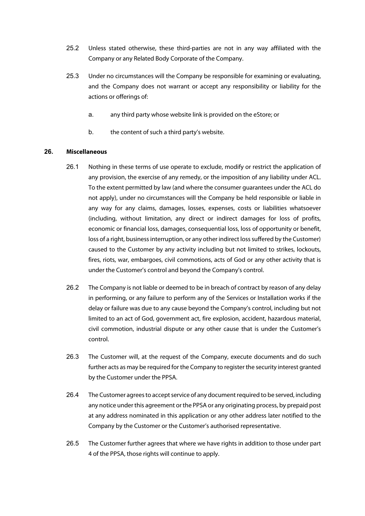- 25.2 Unless stated otherwise, these third-parties are not in any way affiliated with the Company or any Related Body Corporate of the Company.
- 25.3 Under no circumstances will the Company be responsible for examining or evaluating, and the Company does not warrant or accept any responsibility or liability for the actions or offerings of:
	- a. any third party whose website link is provided on the eStore; or
	- b. the content of such a third party's website.

## **26. Miscellaneous**

- 26.1 Nothing in these terms of use operate to exclude, modify or restrict the application of any provision, the exercise of any remedy, or the imposition of any liability under ACL. To the extent permitted by law (and where the consumer guarantees under the ACL do not apply), under no circumstances will the Company be held responsible or liable in any way for any claims, damages, losses, expenses, costs or liabilities whatsoever (including, without limitation, any direct or indirect damages for loss of profits, economic or financial loss, damages, consequential loss, loss of opportunity or benefit, loss of a right, business interruption, or any other indirect loss suffered by the Customer) caused to the Customer by any activity including but not limited to strikes, lockouts, fires, riots, war, embargoes, civil commotions, acts of God or any other activity that is under the Customer's control and beyond the Company's control.
- 26.2 The Company is not liable or deemed to be in breach of contract by reason of any delay in performing, or any failure to perform any of the Services or Installation works if the delay or failure was due to any cause beyond the Company's control, including but not limited to an act of God, government act, fire explosion, accident, hazardous material, civil commotion, industrial dispute or any other cause that is under the Customer's control.
- 26.3 The Customer will, at the request of the Company, execute documents and do such further acts as may be required for the Company to register the security interest granted by the Customer under the PPSA.
- 26.4 The Customer agrees to accept service of any document required to be served, including any notice under this agreement or the PPSA or any originating process, by prepaid post at any address nominated in this application or any other address later notified to the Company by the Customer or the Customer's authorised representative.
- 26.5 The Customer further agrees that where we have rights in addition to those under part 4 of the PPSA, those rights will continue to apply.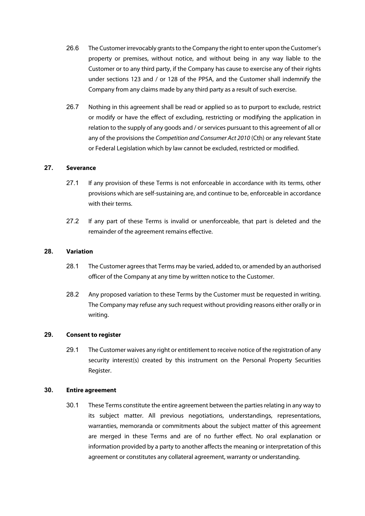- 26.6 The Customer irrevocably grants to the Company the right to enter upon the Customer's property or premises, without notice, and without being in any way liable to the Customer or to any third party, if the Company has cause to exercise any of their rights under sections 123 and / or 128 of the PPSA, and the Customer shall indemnify the Company from any claims made by any third party as a result of such exercise.
- 26.7 Nothing in this agreement shall be read or applied so as to purport to exclude, restrict or modify or have the effect of excluding, restricting or modifying the application in relation to the supply of any goods and / or services pursuant to this agreement of all or any of the provisions the *Competition and Consumer Act 2010* (Cth) or any relevant State or Federal Legislation which by law cannot be excluded, restricted or modified.

## **27. Severance**

- 27.1 If any provision of these Terms is not enforceable in accordance with its terms, other provisions which are self-sustaining are, and continue to be, enforceable in accordance with their terms.
- 27.2 If any part of these Terms is invalid or unenforceable, that part is deleted and the remainder of the agreement remains effective.

#### **28. Variation**

- 28.1 The Customer agrees that Terms may be varied, added to, or amended by an authorised officer of the Company at any time by written notice to the Customer.
- 28.2 Any proposed variation to these Terms by the Customer must be requested in writing. The Company may refuse any such request without providing reasons either orally or in writing.

#### **29. Consent to register**

29.1 The Customer waives any right or entitlement to receive notice of the registration of any security interest(s) created by this instrument on the Personal Property Securities Register.

#### **30. Entire agreement**

30.1 These Terms constitute the entire agreement between the parties relating in any way to its subject matter. All previous negotiations, understandings, representations, warranties, memoranda or commitments about the subject matter of this agreement are merged in these Terms and are of no further effect. No oral explanation or information provided by a party to another affects the meaning or interpretation of this agreement or constitutes any collateral agreement, warranty or understanding.